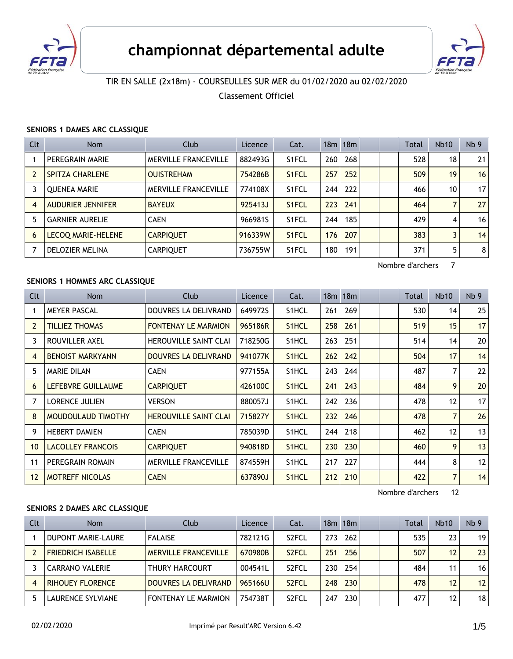



# TIR EN SALLE (2x18m) - COURSEULLES SUR MER du 01/02/2020 au 02/02/2020

Classement Officiel

#### **SENIORS 1 DAMES ARC CLASSIQUE**

| Clt            | <b>Nom</b>                | Club                        | Licence | Cat.  |     | $18m$ 18 $m$ |  | <b>Total</b> | <b>Nb10</b> | Nb <sub>9</sub> |
|----------------|---------------------------|-----------------------------|---------|-------|-----|--------------|--|--------------|-------------|-----------------|
|                | PEREGRAIN MARIE           | <b>MERVILLE FRANCEVILLE</b> | 882493G | S1FCL | 260 | 268          |  | 528          | 18          | 21              |
| $\overline{2}$ | <b>SPITZA CHARLENE</b>    | <b>OUISTREHAM</b>           | 754286B | S1FCL | 257 | 252          |  | 509          | 19          | 16              |
| 3              | <b>OUENEA MARIE</b>       | <b>MERVILLE FRANCEVILLE</b> | 774108X | S1FCL | 244 | 222          |  | 466          | 10          | 17              |
| $\overline{4}$ | AUDURIER JENNIFER         | <b>BAYEUX</b>               | 925413J | S1FCL | 223 | 241          |  | 464          | 7           | 27              |
| 5              | <b>GARNIER AURELIE</b>    | <b>CAEN</b>                 | 966981S | S1FCL | 244 | 185          |  | 429          | 4           | 16              |
| 6              | <b>LECOQ MARIE-HELENE</b> | <b>CARPIQUET</b>            | 916339W | S1FCL | 176 | 207          |  | 383          | 3           | 14              |
| 7              | <b>DELOZIER MELINA</b>    | <b>CARPIQUET</b>            | 736755W | S1FCL | 180 | 191          |  | 371          | 5           | 8               |

Nombre d'archers 7

### **SENIORS 1 HOMMES ARC CLASSIQUE**

| Clt            | <b>Nom</b>               | Club                         | Licence | Cat.               |     | $18m$ 18 $m$ |  | Total | <b>Nb10</b>       | Nb <sub>9</sub> |
|----------------|--------------------------|------------------------------|---------|--------------------|-----|--------------|--|-------|-------------------|-----------------|
|                | <b>MEYER PASCAL</b>      | DOUVRES LA DELIVRAND         | 649972S | S <sub>1</sub> HCL | 261 | 269          |  | 530   | 14                | 25              |
| $\overline{2}$ | <b>TILLIEZ THOMAS</b>    | <b>FONTENAY LE MARMION</b>   | 965186R | S <sub>1</sub> HCL | 258 | 261          |  | 519   | 15                | 17              |
| 3              | ROUVILLER AXEL           | <b>HEROUVILLE SAINT CLAI</b> | 718250G | S1HCL              | 263 | 251          |  | 514   | 14                | 20 <sup>2</sup> |
| 4              | <b>BENOIST MARKYANN</b>  | DOUVRES LA DELIVRAND         | 941077K | S <sub>1</sub> HCL | 262 | 242          |  | 504   | 17                | 14              |
| 5              | <b>MARIE DILAN</b>       | <b>CAEN</b>                  | 977155A | S1HCL              | 243 | 244          |  | 487   | 7                 | 22              |
| 6              | LEFEBVRE GUILLAUME       | <b>CARPIQUET</b>             | 426100C | S <sub>1</sub> HCL | 241 | 243          |  | 484   | 9                 | 20              |
| 7              | <b>LORENCE JULIEN</b>    | <b>VERSON</b>                | 880057J | S1HCL              | 242 | 236          |  | 478   | $12 \overline{ }$ | 17              |
| 8              | MOUDOULAUD TIMOTHY       | <b>HEROUVILLE SAINT CLAI</b> | 715827Y | S <sub>1</sub> HCL | 232 | 246          |  | 478   | $\overline{7}$    | 26              |
| 9              | <b>HEBERT DAMIEN</b>     | <b>CAEN</b>                  | 785039D | S <sub>1</sub> HCL | 244 | 218          |  | 462   | $12 \overline{ }$ | 13              |
| 10             | <b>LACOLLEY FRANCOIS</b> | <b>CARPIQUET</b>             | 940818D | S <sub>1</sub> HCL | 230 | 230          |  | 460   | 9                 | 13              |
| 11             | PEREGRAIN ROMAIN         | MERVILLE FRANCEVILLE         | 874559H | S1HCL              | 217 | 227          |  | 444   | 8                 | 12              |
| 12             | <b>MOTREFF NICOLAS</b>   | <b>CAEN</b>                  | 637890J | S <sub>1</sub> HCL | 212 | 210          |  | 422   | 7                 | 14              |

Nombre d'archers 12

#### **SENIORS 2 DAMES ARC CLASSIQUE**

| <b>Clt</b> | <b>Nom</b>                | Club                        | Licence | Cat.               |                  | $18m$ 18 $m$ |  | Total | <b>Nb10</b> | Nb <sub>9</sub> |
|------------|---------------------------|-----------------------------|---------|--------------------|------------------|--------------|--|-------|-------------|-----------------|
|            | DUPONT MARIE-LAURE        | <b>FALAISE</b>              | 782121G | S <sub>2</sub> FCL | 273              | 262          |  | 535   | 23          | 19              |
|            | <b>FRIEDRICH ISABELLE</b> | <b>MERVILLE FRANCEVILLE</b> | 670980B | S <sub>2</sub> FCL | 251              | 256          |  | 507   | 12          | 23              |
|            | <b>CARRANO VALERIE</b>    | <b>THURY HARCOURT</b>       | 004541L | S <sub>2</sub> FCL | 230 <sup>1</sup> | 254          |  | 484   | 11          | 16              |
|            | <b>RIHOUEY FLORENCE</b>   | <b>DOUVRES LA DELIVRAND</b> | 965166U | S <sub>2</sub> FCL | 248              | 230          |  | 478   | 12          | 12              |
|            | LAURENCE SYLVIANE         | <b>FONTENAY LE MARMION</b>  | 754738T | S <sub>2</sub> FCL | 247              | 230          |  | 477   | 12          | 18              |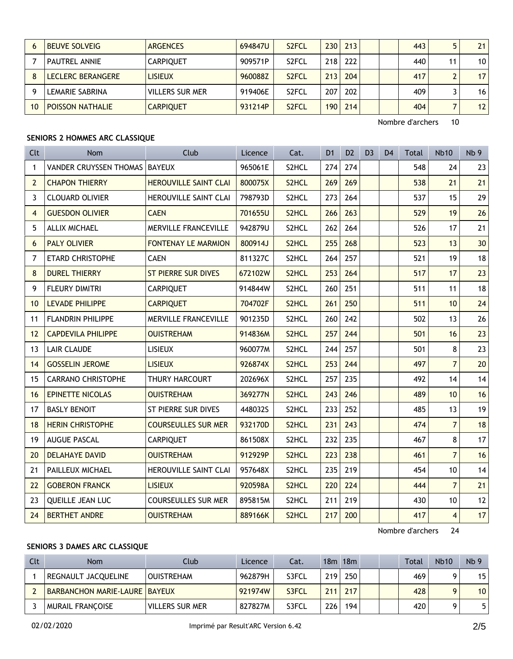|    | <b>BEUVE SOLVEIG</b>    | <b>ARGENCES</b>        | 694847U | S <sub>2</sub> FCL | 230  | 213 |  | 443 |    | 21              |
|----|-------------------------|------------------------|---------|--------------------|------|-----|--|-----|----|-----------------|
|    | <b>PAUTREL ANNIE</b>    | <b>CARPIOUET</b>       | 909571P | S <sub>2</sub> FCL | 218  | 222 |  | 440 | 11 | 10 <sup>1</sup> |
|    | LECLERC BERANGERE       | LISIEUX                | 960088Z | S <sub>2</sub> FCL | 2131 | 204 |  | 417 |    | 17 <sup>1</sup> |
|    | LEMARIE SABRINA         | <b>VILLERS SUR MER</b> | 919406E | S <sub>2</sub> FCL | 207  | 202 |  | 409 |    | 16 <sup>1</sup> |
| 10 | <b>POISSON NATHALIE</b> | <b>CARPIOUET</b>       | 931214P | S <sub>2</sub> FCL | 190  | 214 |  | 404 |    | 12 <sub>1</sub> |

Nombre d'archers 10

### **SENIORS 2 HOMMES ARC CLASSIQUE**

| Clt            | <b>Nom</b>                      | Club                         | Licence | Cat.  | D <sub>1</sub> | D <sub>2</sub> | D <sub>3</sub> | D <sub>4</sub> | <b>Total</b> | <b>Nb10</b>    | Nb <sub>9</sub> |
|----------------|---------------------------------|------------------------------|---------|-------|----------------|----------------|----------------|----------------|--------------|----------------|-----------------|
| $\mathbf{1}$   | VANDER CRUYSSEN THOMAS   BAYEUX |                              | 965061E | S2HCL | 274            | 274            |                |                | 548          | 24             | 23              |
| $\overline{2}$ | <b>CHAPON THIERRY</b>           | <b>HEROUVILLE SAINT CLAI</b> | 800075X | S2HCL | 269            | 269            |                |                | 538          | 21             | 21              |
| 3              | <b>CLOUARD OLIVIER</b>          | <b>HEROUVILLE SAINT CLAI</b> | 798793D | S2HCL | 273            | 264            |                |                | 537          | 15             | 29              |
| $\overline{4}$ | <b>GUESDON OLIVIER</b>          | <b>CAEN</b>                  | 701655U | S2HCL | 266            | 263            |                |                | 529          | 19             | 26              |
| 5              | ALLIX MICHAEL                   | <b>MERVILLE FRANCEVILLE</b>  | 942879U | S2HCL | 262            | 264            |                |                | 526          | 17             | 21              |
| 6              | <b>PALY OLIVIER</b>             | <b>FONTENAY LE MARMION</b>   | 800914J | S2HCL | 255            | 268            |                |                | 523          | 13             | 30 <sup>°</sup> |
| $\overline{7}$ | <b>ETARD CHRISTOPHE</b>         | <b>CAEN</b>                  | 811327C | S2HCL | 264            | 257            |                |                | 521          | 19             | 18              |
| 8              | <b>DUREL THIERRY</b>            | <b>ST PIERRE SUR DIVES</b>   | 672102W | S2HCL | 253            | 264            |                |                | 517          | 17             | 23              |
| 9              | FLEURY DIMITRI                  | <b>CARPIQUET</b>             | 914844W | S2HCL | 260            | 251            |                |                | 511          | 11             | 18              |
| 10             | <b>LEVADE PHILIPPE</b>          | <b>CARPIQUET</b>             | 704702F | S2HCL | 261            | 250            |                |                | 511          | 10             | 24              |
| 11             | <b>FLANDRIN PHILIPPE</b>        | MERVILLE FRANCEVILLE         | 901235D | S2HCL | 260            | 242            |                |                | 502          | 13             | 26              |
| 12             | <b>CAPDEVILA PHILIPPE</b>       | <b>OUISTREHAM</b>            | 914836M | S2HCL | 257            | 244            |                |                | 501          | 16             | 23              |
| 13             | <b>LAIR CLAUDE</b>              | <b>LISIEUX</b>               | 960077M | S2HCL | 244            | 257            |                |                | 501          | 8              | 23              |
| 14             | <b>GOSSELIN JEROME</b>          | <b>LISIEUX</b>               | 926874X | S2HCL | 253            | 244            |                |                | 497          | $\overline{7}$ | 20              |
| 15             | <b>CARRANO CHRISTOPHE</b>       | <b>THURY HARCOURT</b>        | 202696X | S2HCL | 257            | 235            |                |                | 492          | 14             | 14              |
| 16             | <b>EPINETTE NICOLAS</b>         | <b>OUISTREHAM</b>            | 369277N | S2HCL | 243            | 246            |                |                | 489          | 10             | 16              |
| 17             | <b>BASLY BENOIT</b>             | ST PIERRE SUR DIVES          | 448032S | S2HCL | 233            | 252            |                |                | 485          | 13             | 19              |
| 18             | <b>HERIN CHRISTOPHE</b>         | <b>COURSEULLES SUR MER</b>   | 932170D | S2HCL | 231            | 243            |                |                | 474          | $\overline{7}$ | 18              |
| 19             | <b>AUGUE PASCAL</b>             | <b>CARPIQUET</b>             | 861508X | S2HCL | 232            | 235            |                |                | 467          | 8              | 17              |
| 20             | <b>DELAHAYE DAVID</b>           | <b>OUISTREHAM</b>            | 912929P | S2HCL | 223            | 238            |                |                | 461          | $\overline{7}$ | 16              |
| 21             | PAILLEUX MICHAEL                | <b>HEROUVILLE SAINT CLAI</b> | 957648X | S2HCL | 235            | 219            |                |                | 454          | 10             | 14              |
| 22             | <b>GOBERON FRANCK</b>           | <b>LISIEUX</b>               | 920598A | S2HCL | 220            | 224            |                |                | 444          | $\overline{7}$ | 21              |
| 23             | <b>OUEILLE JEAN LUC</b>         | <b>COURSEULLES SUR MER</b>   | 895815M | S2HCL | 211            | 219            |                |                | 430          | 10             | 12              |
| 24             | <b>BERTHET ANDRE</b>            | <b>OUISTREHAM</b>            | 889166K | S2HCL | 217            | 200            |                |                | 417          | $\overline{4}$ | 17              |

Nombre d'archers 24

#### **SENIORS 3 DAMES ARC CLASSIQUE**

| Clt | <b>Nom</b>                    | Club              | Licence | Cat.  |     | 18m 18m |  | <b>Total</b> | <b>Nb10</b> | Nb <sub>9</sub> |
|-----|-------------------------------|-------------------|---------|-------|-----|---------|--|--------------|-------------|-----------------|
|     | REGNAULT JACOUELINE           | <b>OUISTREHAM</b> | 962879H | S3FCL | 219 | 250     |  | 469          |             | 15 <sup>1</sup> |
|     | BARBANCHON MARIE-LAURE BAYEUX |                   | 921974W | S3FCL | 211 | 217     |  | 428          |             | 10 <sup>1</sup> |
|     | MURAIL FRANCOISE              | VILLERS SUR MER   | 827827M | S3FCL | 226 | 194     |  | 420          |             | 5               |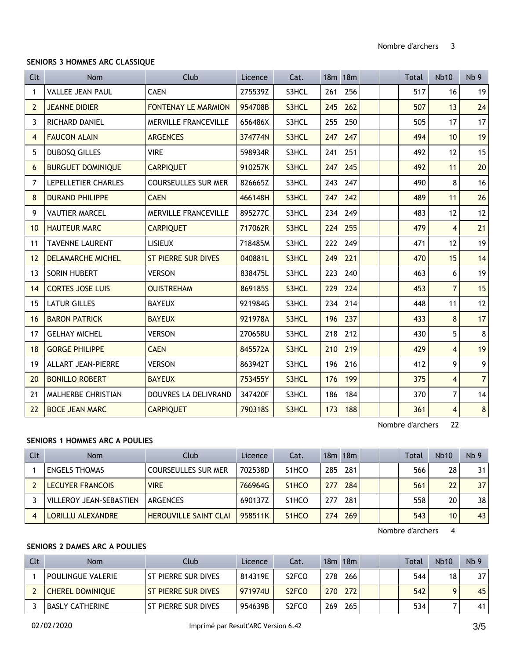#### **SENIORS 3 HOMMES ARC CLASSIQUE**

| <b>Clt</b>     | <b>Nom</b>                | Club                       | Licence | Cat.  |     | 18m 18m |  | Total | <b>Nb10</b>    | Nb <sub>9</sub> |
|----------------|---------------------------|----------------------------|---------|-------|-----|---------|--|-------|----------------|-----------------|
| 1              | <b>VALLEE JEAN PAUL</b>   | <b>CAEN</b>                | 275539Z | S3HCL | 261 | 256     |  | 517   | 16             | 19              |
| $\overline{2}$ | <b>JEANNE DIDIER</b>      | <b>FONTENAY LE MARMION</b> | 954708B | S3HCL | 245 | 262     |  | 507   | 13             | 24              |
| 3              | RICHARD DANIEL            | MERVILLE FRANCEVILLE       | 656486X | S3HCL | 255 | 250     |  | 505   | 17             | 17              |
| 4              | <b>FAUCON ALAIN</b>       | <b>ARGENCES</b>            | 374774N | S3HCL | 247 | 247     |  | 494   | 10             | 19              |
| 5              | <b>DUBOSQ GILLES</b>      | <b>VIRE</b>                | 598934R | S3HCL | 241 | 251     |  | 492   | 12             | 15              |
| 6              | <b>BURGUET DOMINIQUE</b>  | <b>CARPIQUET</b>           | 910257K | S3HCL | 247 | 245     |  | 492   | 11             | 20              |
| 7              | LEPELLETIER CHARLES       | <b>COURSEULLES SUR MER</b> | 826665Z | S3HCL | 243 | 247     |  | 490   | 8              | 16              |
| 8              | <b>DURAND PHILIPPE</b>    | <b>CAEN</b>                | 466148H | S3HCL | 247 | 242     |  | 489   | 11             | 26              |
| 9              | <b>VAUTIER MARCEL</b>     | MERVILLE FRANCEVILLE       | 895277C | S3HCL | 234 | 249     |  | 483   | 12             | 12              |
| 10             | <b>HAUTEUR MARC</b>       | <b>CARPIQUET</b>           | 717062R | S3HCL | 224 | 255     |  | 479   | $\overline{4}$ | 21              |
| 11             | <b>TAVENNE LAURENT</b>    | <b>LISIEUX</b>             | 718485M | S3HCL | 222 | 249     |  | 471   | 12             | 19              |
| 12             | <b>DELAMARCHE MICHEL</b>  | <b>ST PIERRE SUR DIVES</b> | 040881L | S3HCL | 249 | 221     |  | 470   | 15             | 14              |
| 13             | SORIN HUBERT              | <b>VERSON</b>              | 838475L | S3HCL | 223 | 240     |  | 463   | 6              | 19              |
| 14             | <b>CORTES JOSE LUIS</b>   | <b>OUISTREHAM</b>          | 869185S | S3HCL | 229 | 224     |  | 453   | $\overline{7}$ | 15              |
| 15             | <b>LATUR GILLES</b>       | <b>BAYEUX</b>              | 921984G | S3HCL | 234 | 214     |  | 448   | 11             | 12              |
| 16             | <b>BARON PATRICK</b>      | <b>BAYEUX</b>              | 921978A | S3HCL | 196 | 237     |  | 433   | 8              | 17              |
| 17             | <b>GELHAY MICHEL</b>      | <b>VERSON</b>              | 270658U | S3HCL | 218 | 212     |  | 430   | 5              | $\bf 8$         |
| 18             | <b>GORGE PHILIPPE</b>     | <b>CAEN</b>                | 845572A | S3HCL | 210 | 219     |  | 429   | $\overline{4}$ | 19              |
| 19             | <b>ALLART JEAN-PIERRE</b> | <b>VERSON</b>              | 863942T | S3HCL | 196 | 216     |  | 412   | 9              | 9               |
| 20             | <b>BONILLO ROBERT</b>     | <b>BAYEUX</b>              | 753455Y | S3HCL | 176 | 199     |  | 375   | $\overline{4}$ | 7 <sup>1</sup>  |
| 21             | MALHERBE CHRISTIAN        | DOUVRES LA DELIVRAND       | 347420F | S3HCL | 186 | 184     |  | 370   | $\overline{7}$ | 14              |
| 22             | <b>BOCE JEAN MARC</b>     | <b>CARPIQUET</b>           | 790318S | S3HCL | 173 | 188     |  | 361   | $\overline{4}$ | $\bf 8$         |

Nombre d'archers 22

#### **SENIORS 1 HOMMES ARC A POULIES**

| Clt | Nom                       | Club                         | Licence | Cat.                            |         | 18m 18m |  | Total | <b>Nb10</b> | Nb <sub>9</sub> |
|-----|---------------------------|------------------------------|---------|---------------------------------|---------|---------|--|-------|-------------|-----------------|
|     | <b>ENGELS THOMAS</b>      | COURSEULLES SUR MER          | 702538D | S <sub>1</sub> HCO              | $285 -$ | 281     |  | 566   | 28          | 31              |
|     | LECUYER FRANCOIS          | <b>VIRE</b>                  | 766964G | S <sub>1</sub> H <sub>C</sub> O | 277     | 284     |  | 561   | 22          | 37              |
|     | I VILLEROY JEAN-SEBASTIEN | ARGENCES                     | 690137Z | S <sub>1</sub> HCO              | 277     | 281     |  | 558   | 20          | 38              |
|     | <b>LORILLU ALEXANDRE</b>  | <b>HEROUVILLE SAINT CLAI</b> | 958511K | S <sub>1</sub> H <sub>C</sub> O | 274     | 269     |  | 543   | 10          | 43              |

Nombre d'archers 4

# **SENIORS 2 DAMES ARC A POULIES**

| Clt | Nom                      | Club                  | Licence | Cat.                           |                  | 18m 18m |  | Total | <b>Nb10</b> | Nb <sub>9</sub> |
|-----|--------------------------|-----------------------|---------|--------------------------------|------------------|---------|--|-------|-------------|-----------------|
|     | <b>POULINGUE VALERIE</b> | I ST PIERRE SUR DIVES | 814319E | S <sub>2</sub> FCO             | 278 <sub>1</sub> | 266     |  | 544   | 18          | 37              |
|     | <b>CHEREL DOMINIOUE</b>  | I ST PIERRE SUR DIVES | 971974U | S <sub>2</sub> F <sub>CO</sub> | 270              | 272     |  | 542   |             | 45              |
|     | <b>BASLY CATHERINE</b>   | l St pierre sur dives | 954639B | S <sub>2</sub> FCO             | 269              | 265     |  | 534   |             | 41              |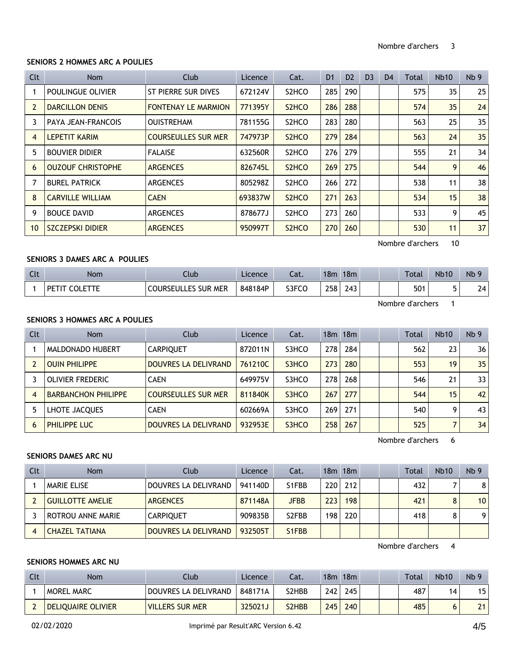#### **SENIORS 2 HOMMES ARC A POULIES**

| Clt            | Nom                      | Club                       | Licence | Cat.                           | D <sub>1</sub> | D <sub>2</sub> | D <sub>3</sub> | D <sub>4</sub> | Total | Nb10 | Nb <sub>9</sub> |
|----------------|--------------------------|----------------------------|---------|--------------------------------|----------------|----------------|----------------|----------------|-------|------|-----------------|
|                | POULINGUE OLIVIER        | ST PIERRE SUR DIVES        | 672124V | S <sub>2</sub> HC <sub>O</sub> | 285            | 290            |                |                | 575   | 35   | 25              |
| $\overline{2}$ | <b>DARCILLON DENIS</b>   | <b>FONTENAY LE MARMION</b> | 771395Y | S <sub>2</sub> HC <sub>O</sub> | 286            | 288            |                |                | 574   | 35   | 24              |
| 3              | PAYA JEAN-FRANCOIS       | <b>OUISTREHAM</b>          | 781155G | S <sub>2</sub> HC <sub>O</sub> | 283            | 280            |                |                | 563   | 25   | 35              |
| $\overline{4}$ | <b>LEPETIT KARIM</b>     | <b>COURSEULLES SUR MER</b> | 747973P | S <sub>2</sub> HC <sub>O</sub> | 279            | 284            |                |                | 563   | 24   | 35              |
| 5              | <b>BOUVIER DIDIER</b>    | <b>FALAISE</b>             | 632560R | S <sub>2</sub> HC <sub>O</sub> | 276            | 279            |                |                | 555   | 21   | 34              |
| 6              | <b>OUZOUF CHRISTOPHE</b> | <b>ARGENCES</b>            | 826745L | S <sub>2</sub> HC <sub>O</sub> | 269            | 275            |                |                | 544   | 9    | 46              |
| 7              | <b>BUREL PATRICK</b>     | <b>ARGENCES</b>            | 805298Z | S <sub>2</sub> HC <sub>O</sub> | 266            | 272            |                |                | 538   | 11   | 38              |
| 8              | <b>CARVILLE WILLIAM</b>  | <b>CAEN</b>                | 693837W | S <sub>2</sub> HC <sub>O</sub> | 271            | 263            |                |                | 534   | 15   | 38              |
| 9              | <b>BOUCE DAVID</b>       | <b>ARGENCES</b>            | 878677J | S <sub>2</sub> HC <sub>O</sub> | 273            | 260            |                |                | 533   | 9    | 45              |
| 10             | SZCZEPSKI DIDIER         | <b>ARGENCES</b>            | 950997T | S <sub>2</sub> HC <sub>O</sub> | 270            | 260            |                |                | 530   | 11   | 37 <sup>1</sup> |

Nombre d'archers 10

## **SENIORS 3 DAMES ARC A POULIES**

| $C1+$<br><b>CIL</b> | <b>Nom</b> | Club                                  | Licence | $-1$<br>cal. | 18 <sub>m</sub> | 18m | Total | <b>Nb10</b>    | N <sub>b</sub> 9 |
|---------------------|------------|---------------------------------------|---------|--------------|-----------------|-----|-------|----------------|------------------|
|                     | DE.        | S SUR MER<br><b>COURSEUL</b><br>LES I | 848184P | S3FCC        | 258             | 243 | 501   | $\blacksquare$ | 24               |

Nombre d'archers 1

#### **SENIORS 3 HOMMES ARC A POULIES**

| Clt | <b>Nom</b>                 | Club                       | Licence | Cat.  |     | 18m 18m |  | Total | <b>Nb10</b> | Nb <sub>9</sub> |
|-----|----------------------------|----------------------------|---------|-------|-----|---------|--|-------|-------------|-----------------|
|     | MALDONADO HUBERT           | <b>CARPIQUET</b>           | 872011N | S3HCO | 278 | 284     |  | 562   | 23          | 36              |
|     | <b>OUIN PHILIPPE</b>       | DOUVRES LA DELIVRAND       | 761210C | S3HCO | 273 | 280     |  | 553   | 19          | 35              |
|     | <b>OLIVIER FREDERIC</b>    | <b>CAEN</b>                | 649975V | S3HCO | 278 | 268     |  | 546   | 21          | 33 <sup>1</sup> |
| 4   | <b>BARBANCHON PHILIPPE</b> | <b>COURSEULLES SUR MER</b> | 811840K | S3HCO | 267 | 277     |  | 544   | 15          | 42              |
| 5   | LHOTE JACQUES              | <b>CAEN</b>                | 602669A | S3HCO | 269 | 271     |  | 540   | 9           | 43              |
| 6   | PHILIPPE LUC               | DOUVRES LA DELIVRAND       | 932953E | S3HCO | 258 | 267     |  | 525   |             | 34              |

Nombre d'archers 6

#### **SENIORS DAMES ARC NU**

| Clt | <b>Nom</b>              | Club                 | Licence | Cat.               |     | 18m 18m |  | <b>Total</b> | <b>Nb10</b> | Nb <sub>9</sub> |
|-----|-------------------------|----------------------|---------|--------------------|-----|---------|--|--------------|-------------|-----------------|
|     | <b>MARIE ELISE</b>      | DOUVRES LA DELIVRAND | 941140D | S1FBB              | 220 | 212     |  | 432          |             | 8               |
|     | <b>GUILLOTTE AMELIE</b> | <b>ARGENCES</b>      | 871148A | <b>JFBB</b>        | 223 | 198     |  | 421          | 8           | 10 <sup>1</sup> |
|     | ROTROU ANNE MARIE       | <b>CARPIQUET</b>     | 909835B | S <sub>2</sub> FBB | 198 | 220     |  | 418          |             | 9               |
|     | <b>CHAZEL TATIANA</b>   | DOUVRES LA DELIVRAND | 932505T | S <sub>1</sub> FBB |     |         |  |              |             |                 |

Nombre d'archers 4

#### **SENIORS HOMMES ARC NU**

| Clt | Nom                       | Llub                 | Licence | Cat.                            | 18m | 18m |  | Total | <b>Nb10</b> | Nb <sub>9</sub> |
|-----|---------------------------|----------------------|---------|---------------------------------|-----|-----|--|-------|-------------|-----------------|
|     | <b>MOREL MARC</b>         | DOUVRES LA DELIVRAND | 848171A | S2HBB                           | 242 | 245 |  | 487   | 14          | 15              |
|     | <b>DELIOUAIRE OLIVIER</b> | VILLERS SUR MER      | 325021J | S <sub>2</sub> H <sub>B</sub> B | 245 | 240 |  | 485   |             | 21              |